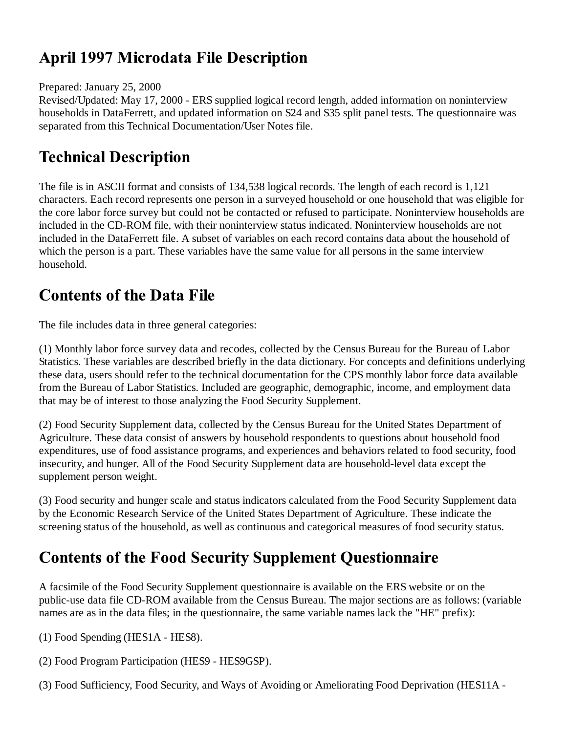# **April 1997 Microdata File Description**

Prepared: January 25, 2000

Revised/Updated: May 17, 2000 - ERS supplied logical record length, added information on noninterview households in DataFerrett, and updated information on S24 and S35 split panel tests. The questionnaire was separated from this Technical Documentation/User Notes file.

# **Technical Description**

The file is in ASCII format and consists of 134,538 logical records. The length of each record is 1,121 characters. Each record represents one person in a surveyed household or one household that was eligible for the core labor force survey but could not be contacted or refused to participate. Noninterview households are included in the CD-ROM file, with their noninterview status indicated. Noninterview households are not included in the DataFerrett file. A subset of variables on each record contains data about the household of which the person is a part. These variables have the same value for all persons in the same interview household.

# **Contents of the Data File**

The file includes data in three general categories:

(1) Monthly labor force survey data and recodes, collected by the Census Bureau for the Bureau of Labor Statistics. These variables are described briefly in the data dictionary. For concepts and definitions underlying these data, users should refer to the technical documentation for the CPS monthly labor force data available from the Bureau of Labor Statistics. Included are geographic, demographic, income, and employment data that may be of interest to those analyzing the Food Security Supplement.

(2) Food Security Supplement data, collected by the Census Bureau for the United States Department of Agriculture. These data consist of answers by household respondents to questions about household food expenditures, use of food assistance programs, and experiences and behaviors related to food security, food insecurity, and hunger. All of the Food Security Supplement data are household-level data except the supplement person weight.

(3) Food security and hunger scale and status indicators calculated from the Food Security Supplement data by the Economic Research Service of the United States Department of Agriculture. These indicate the screening status of the household, as well as continuous and categorical measures of food security status.

# **Contents of the Food Security Supplement Questionnaire**

A facsimile of the Food Security Supplement questionnaire is available on the ERS website or on the public-use data file CD-ROM available from the Census Bureau. The major sections are as follows: (variable names are as in the data files; in the questionnaire, the same variable names lack the "HE" prefix):

(1) Food Spending (HES1A - HES8).

(2) Food Program Participation (HES9 - HES9GSP).

(3) Food Sufficiency, Food Security, and Ways of Avoiding or Ameliorating Food Deprivation (HES11A -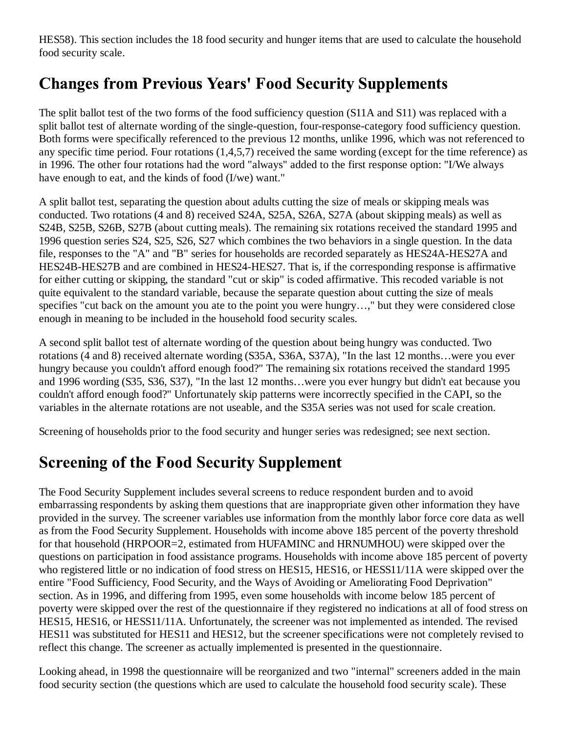HES58). This section includes the 18 food security and hunger items that are used to calculate the household food security scale.

## **Changes from Previous Years' Food Security Supplements**

The split ballot test of the two forms of the food sufficiency question (S11A and S11) was replaced with a split ballot test of alternate wording of the single-question, four-response-category food sufficiency question. Both forms were specifically referenced to the previous 12 months, unlike 1996, which was not referenced to any specific time period. Four rotations (1,4,5,7) received the same wording (except for the time reference) as in 1996. The other four rotations had the word "always" added to the first response option: "I/We always have enough to eat, and the kinds of food (I/we) want."

A split ballot test, separating the question about adults cutting the size of meals or skipping meals was conducted. Two rotations (4 and 8) received S24A, S25A, S26A, S27A (about skipping meals) as well as S24B, S25B, S26B, S27B (about cutting meals). The remaining six rotations received the standard 1995 and 1996 question series S24, S25, S26, S27 which combines the two behaviors in a single question. In the data file, responses to the "A" and "B" series for households are recorded separately as HES24A-HES27A and HES24B-HES27B and are combined in HES24-HES27. That is, if the corresponding response is affirmative for either cutting or skipping, the standard "cut or skip" is coded affirmative. This recoded variable is not quite equivalent to the standard variable, because the separate question about cutting the size of meals specifies "cut back on the amount you ate to the point you were hungry…," but they were considered close enough in meaning to be included in the household food security scales.

A second split ballot test of alternate wording of the question about being hungry was conducted. Two rotations (4 and 8) received alternate wording (S35A, S36A, S37A), "In the last 12 months…were you ever hungry because you couldn't afford enough food?" The remaining six rotations received the standard 1995 and 1996 wording (S35, S36, S37), "In the last 12 months…were you ever hungry but didn't eat because you couldn't afford enough food?" Unfortunately skip patterns were incorrectly specified in the CAPI, so the variables in the alternate rotations are not useable, and the S35A series was not used for scale creation.

Screening of households prior to the food security and hunger series was redesigned; see next section.

#### **Screening of the Food Security Supplement**

The Food Security Supplement includes several screens to reduce respondent burden and to avoid embarrassing respondents by asking them questions that are inappropriate given other information they have provided in the survey. The screener variables use information from the monthly labor force core data as well as from the Food Security Supplement. Households with income above 185 percent of the poverty threshold for that household (HRPOOR=2, estimated from HUFAMINC and HRNUMHOU) were skipped over the questions on participation in food assistance programs. Households with income above 185 percent of poverty who registered little or no indication of food stress on HES15, HES16, or HESS11/11A were skipped over the entire "Food Sufficiency, Food Security, and the Ways of Avoiding or Ameliorating Food Deprivation" section. As in 1996, and differing from 1995, even some households with income below 185 percent of poverty were skipped over the rest of the questionnaire if they registered no indications at all of food stress on HES15, HES16, or HESS11/11A. Unfortunately, the screener was not implemented as intended. The revised HES11 was substituted for HES11 and HES12, but the screener specifications were not completely revised to reflect this change. The screener as actually implemented is presented in the questionnaire.

Looking ahead, in 1998 the questionnaire will be reorganized and two "internal" screeners added in the main food security section (the questions which are used to calculate the household food security scale). These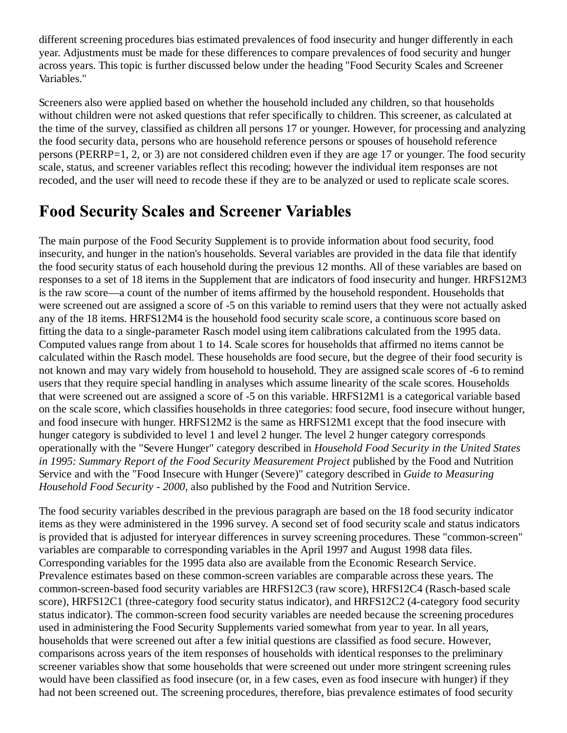different screening procedures bias estimated prevalences of food insecurity and hunger differently in each year. Adjustments must be made for these differences to compare prevalences of food security and hunger across years. This topic is further discussed below under the heading "Food Security Scales and Screener Variables."

Screeners also were applied based on whether the household included any children, so that households without children were not asked questions that refer specifically to children. This screener, as calculated at the time of the survey, classified as children all persons 17 or younger. However, for processing and analyzing the food security data, persons who are household reference persons or spouses of household reference persons (PERRP=1, 2, or 3) are not considered children even if they are age 17 or younger. The food security scale, status, and screener variables reflect this recoding; however the individual item responses are not recoded, and the user will need to recode these if they are to be analyzed or used to replicate scale scores.

#### **Food Security Scales and Screener Variables**

The main purpose of the Food Security Supplement is to provide information about food security, food insecurity, and hunger in the nation's households. Several variables are provided in the data file that identify the food security status of each household during the previous 12 months. All of these variables are based on responses to a set of 18 items in the Supplement that are indicators of food insecurity and hunger. HRFS12M3 is the raw score—a count of the number of items affirmed by the household respondent. Households that were screened out are assigned a score of -5 on this variable to remind users that they were not actually asked any of the 18 items. HRFS12M4 is the household food security scale score, a continuous score based on fitting the data to a single-parameter Rasch model using item calibrations calculated from the 1995 data. Computed values range from about 1 to 14. Scale scores for households that affirmed no items cannot be calculated within the Rasch model. These households are food secure, but the degree of their food security is not known and may vary widely from household to household. They are assigned scale scores of -6 to remind users that they require special handling in analyses which assume linearity of the scale scores. Households that were screened out are assigned a score of -5 on this variable. HRFS12M1 is a categorical variable based on the scale score, which classifies households in three categories: food secure, food insecure without hunger, and food insecure with hunger. HRFS12M2 is the same as HRFS12M1 except that the food insecure with hunger category is subdivided to level 1 and level 2 hunger. The level 2 hunger category corresponds operationally with the "Severe Hunger" category described in *Household Food Security in the United States in 1995: Summary Report of the Food Security Measurement Project* published by the Food and Nutrition Service and with the "Food Insecure with Hunger (Severe)" category described in *Guide to Measuring Household Food Security - 2000*, also published by the Food and Nutrition Service.

The food security variables described in the previous paragraph are based on the 18 food security indicator items as they were administered in the 1996 survey. A second set of food security scale and status indicators is provided that is adjusted for interyear differences in survey screening procedures. These "common-screen" variables are comparable to corresponding variables in the April 1997 and August 1998 data files. Corresponding variables for the 1995 data also are available from the Economic Research Service. Prevalence estimates based on these common-screen variables are comparable across these years. The common-screen-based food security variables are HRFS12C3 (raw score), HRFS12C4 (Rasch-based scale score), HRFS12C1 (three-category food security status indicator), and HRFS12C2 (4-category food security status indicator). The common-screen food security variables are needed because the screening procedures used in administering the Food Security Supplements varied somewhat from year to year. In all years, households that were screened out after a few initial questions are classified as food secure. However, comparisons across years of the item responses of households with identical responses to the preliminary screener variables show that some households that were screened out under more stringent screening rules would have been classified as food insecure (or, in a few cases, even as food insecure with hunger) if they had not been screened out. The screening procedures, therefore, bias prevalence estimates of food security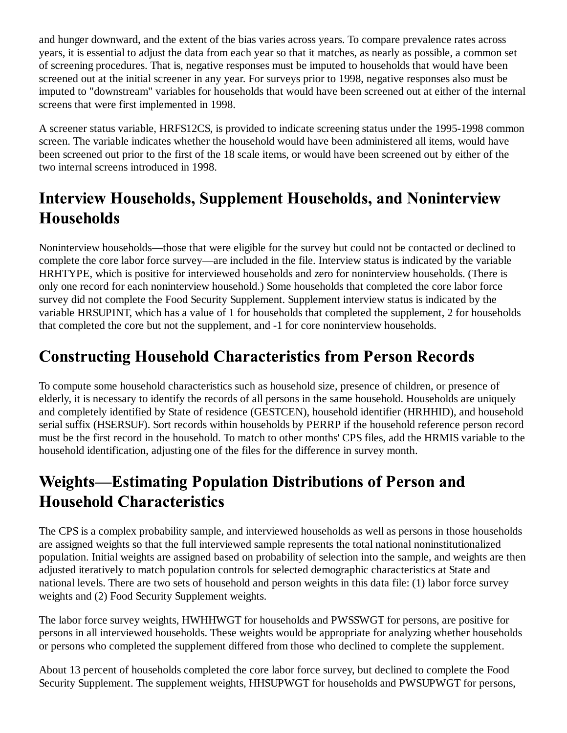and hunger downward, and the extent of the bias varies across years. To compare prevalence rates across years, it is essential to adjust the data from each year so that it matches, as nearly as possible, a common set of screening procedures. That is, negative responses must be imputed to households that would have been screened out at the initial screener in any year. For surveys prior to 1998, negative responses also must be imputed to "downstream" variables for households that would have been screened out at either of the internal screens that were first implemented in 1998.

A screener status variable, HRFS12CS, is provided to indicate screening status under the 1995-1998 common screen. The variable indicates whether the household would have been administered all items, would have been screened out prior to the first of the 18 scale items, or would have been screened out by either of the two internal screens introduced in 1998.

## **Interview Households, Supplement Households, and Noninterview Households**

Noninterview households—those that were eligible for the survey but could not be contacted or declined to complete the core labor force survey—are included in the file. Interview status is indicated by the variable HRHTYPE, which is positive for interviewed households and zero for noninterview households. (There is only one record for each noninterview household.) Some households that completed the core labor force survey did not complete the Food Security Supplement. Supplement interview status is indicated by the variable HRSUPINT, which has a value of 1 for households that completed the supplement, 2 for households that completed the core but not the supplement, and -1 for core noninterview households.

## **Constructing Household Characteristics from Person Records**

To compute some household characteristics such as household size, presence of children, or presence of elderly, it is necessary to identify the records of all persons in the same household. Households are uniquely and completely identified by State of residence (GESTCEN), household identifier (HRHHID), and household serial suffix (HSERSUF). Sort records within households by PERRP if the household reference person record must be the first record in the household. To match to other months' CPS files, add the HRMIS variable to the household identification, adjusting one of the files for the difference in survey month.

### **Weights-Estimating Population Distributions of Person and Household Characteristics**

The CPS is a complex probability sample, and interviewed households as well as persons in those households are assigned weights so that the full interviewed sample represents the total national noninstitutionalized population. Initial weights are assigned based on probability of selection into the sample, and weights are then adjusted iteratively to match population controls for selected demographic characteristics at State and national levels. There are two sets of household and person weights in this data file: (1) labor force survey weights and (2) Food Security Supplement weights.

The labor force survey weights, HWHHWGT for households and PWSSWGT for persons, are positive for persons in all interviewed households. These weights would be appropriate for analyzing whether households or persons who completed the supplement differed from those who declined to complete the supplement.

About 13 percent of households completed the core labor force survey, but declined to complete the Food Security Supplement. The supplement weights, HHSUPWGT for households and PWSUPWGT for persons,